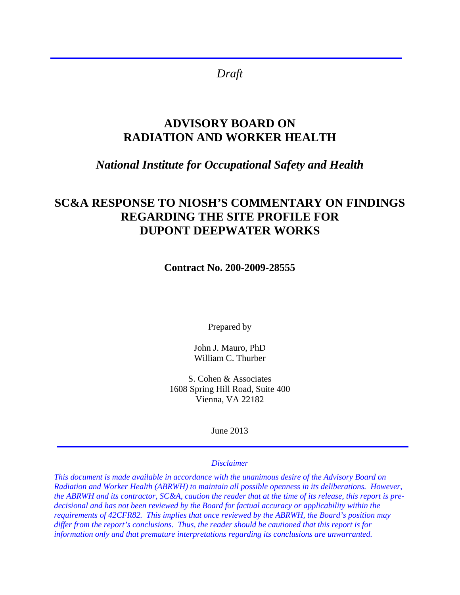*Draft* 

# **ADVISORY BOARD ON RADIATION AND WORKER HEALTH**

## *National Institute for Occupational Safety and Health*

# **SC&A RESPONSE TO NIOSH'S COMMENTARY ON FINDINGS REGARDING THE SITE PROFILE FOR DUPONT DEEPWATER WORKS**

**Contract No. 200-2009-28555** 

Prepared by

John J. Mauro, PhD William C. Thurber

S. Cohen & Associates 1608 Spring Hill Road, Suite 400 Vienna, VA 22182

June 2013

#### *Disclaimer*

*This document is made available in accordance with the unanimous desire of the Advisory Board on Radiation and Worker Health (ABRWH) to maintain all possible openness in its deliberations. However, the ABRWH and its contractor, SC&A, caution the reader that at the time of its release, this report is predecisional and has not been reviewed by the Board for factual accuracy or applicability within the requirements of 42CFR82. This implies that once reviewed by the ABRWH, the Board's position may differ from the report's conclusions. Thus, the reader should be cautioned that this report is for information only and that premature interpretations regarding its conclusions are unwarranted.*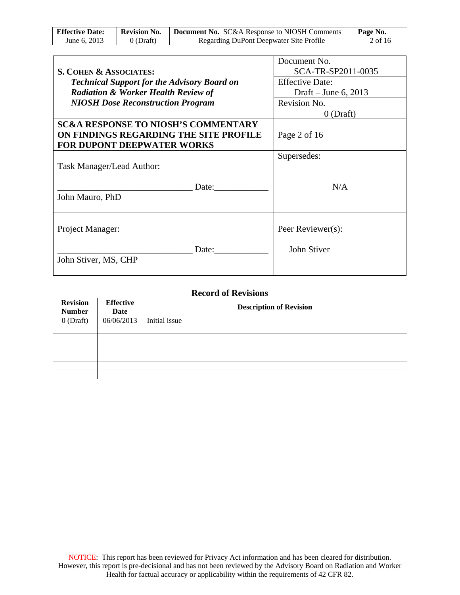| <b>Effective Date:</b> | Revision No. | <b>Document No.</b> SC&A Response to NIOSH Comments | Page No. |
|------------------------|--------------|-----------------------------------------------------|----------|
| June 6, 2013           | 0 (Draft)    | Regarding DuPont Deepwater Site Profile             | 2 of 16  |

|                                                    | Document No.           |
|----------------------------------------------------|------------------------|
| <b>S. COHEN &amp; ASSOCIATES:</b>                  | SCA-TR-SP2011-0035     |
| <b>Technical Support for the Advisory Board on</b> | <b>Effective Date:</b> |
| <b>Radiation &amp; Worker Health Review of</b>     | Draft – June 6, 2013   |
| <b>NIOSH Dose Reconstruction Program</b>           | Revision No.           |
|                                                    | $0$ (Draft)            |
| <b>SC&amp;A RESPONSE TO NIOSH'S COMMENTARY</b>     |                        |
| ON FINDINGS REGARDING THE SITE PROFILE             | Page 2 of 16           |
| <b>FOR DUPONT DEEPWATER WORKS</b>                  |                        |
|                                                    | Supersedes:            |
| Task Manager/Lead Author:                          |                        |
|                                                    |                        |
| Date:                                              | N/A                    |
| John Mauro, PhD                                    |                        |
|                                                    |                        |
|                                                    |                        |
| Project Manager:                                   | Peer Reviewer(s):      |
|                                                    |                        |
| Date:                                              | John Stiver            |
| John Stiver, MS, CHP                               |                        |
|                                                    |                        |

#### **Record of Revisions**

| <b>Revision</b> | <b>Effective</b> | <b>Description of Revision</b> |  |  |
|-----------------|------------------|--------------------------------|--|--|
| <b>Number</b>   | Date             |                                |  |  |
| $0$ (Draft)     | 06/06/2013       | Initial issue                  |  |  |
|                 |                  |                                |  |  |
|                 |                  |                                |  |  |
|                 |                  |                                |  |  |
|                 |                  |                                |  |  |
|                 |                  |                                |  |  |
|                 |                  |                                |  |  |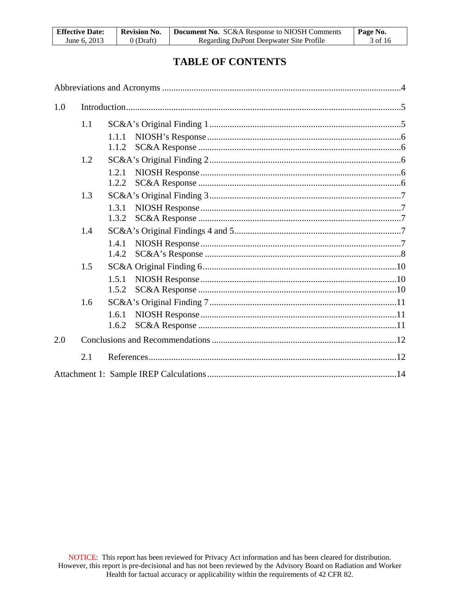| <b>Effective Date:</b> | <b>Revision No.</b> | <b>Document No.</b> SC&A Response to NIOSH Comments | Page No. |
|------------------------|---------------------|-----------------------------------------------------|----------|
| June 6, 2013           | (Draft)             | Regarding DuPont Deepwater Site Profile             | 3 of 16  |

## **TABLE OF CONTENTS**

| 1.0 |     |                |  |
|-----|-----|----------------|--|
|     | 1.1 |                |  |
|     |     | 1.1.1<br>1.1.2 |  |
|     | 1.2 |                |  |
|     |     | 1.2.1<br>1.2.2 |  |
|     | 1.3 |                |  |
|     |     | 1.3.1<br>1.3.2 |  |
|     | 1.4 |                |  |
|     |     | 1.4.1<br>1.4.2 |  |
|     | 1.5 |                |  |
|     |     | 1.5.1<br>1.5.2 |  |
|     | 1.6 |                |  |
|     |     | 1.6.1<br>1.6.2 |  |
| 2.0 |     |                |  |
|     | 2.1 |                |  |
|     |     |                |  |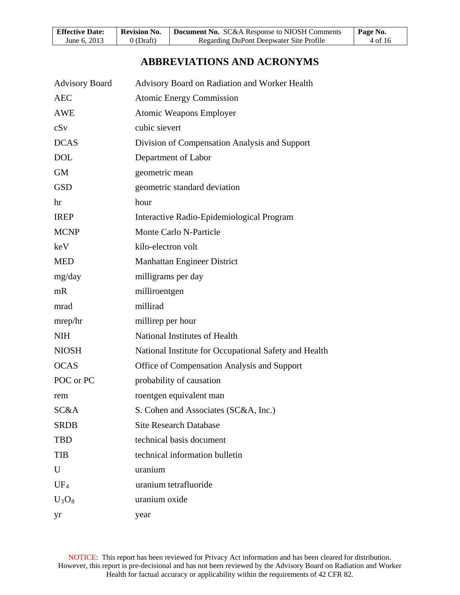| <b>Effective Date:</b> | <b>Revision No.</b> | Document No. SC&A Response to NIOSH Comments | $\perp$ Page No. |
|------------------------|---------------------|----------------------------------------------|------------------|
| June 6, 2013           | $0$ (Draft)         | Regarding DuPont Deepwater Site Profile      | 4 of 16          |

## **ABBREVIATIONS AND ACRONYMS**

<span id="page-3-0"></span>

| <b>Advisory Board</b> | Advisory Board on Radiation and Worker Health         |
|-----------------------|-------------------------------------------------------|
| <b>AEC</b>            | <b>Atomic Energy Commission</b>                       |
| <b>AWE</b>            | <b>Atomic Weapons Employer</b>                        |
| cSv                   | cubic sievert                                         |
| <b>DCAS</b>           | Division of Compensation Analysis and Support         |
| <b>DOL</b>            | Department of Labor                                   |
| <b>GM</b>             | geometric mean                                        |
| <b>GSD</b>            | geometric standard deviation                          |
| hr                    | hour                                                  |
| <b>IREP</b>           | Interactive Radio-Epidemiological Program             |
| <b>MCNP</b>           | <b>Monte Carlo N-Particle</b>                         |
| keV                   | kilo-electron volt                                    |
| <b>MED</b>            | Manhattan Engineer District                           |
| mg/day                | milligrams per day                                    |
| mR                    | milliroentgen                                         |
| mrad                  | millirad                                              |
| mrep/hr               | millirep per hour                                     |
| <b>NIH</b>            | National Institutes of Health                         |
| <b>NIOSH</b>          | National Institute for Occupational Safety and Health |
| <b>OCAS</b>           | Office of Compensation Analysis and Support           |
| POC or PC             | probability of causation                              |
| rem                   | roentgen equivalent man                               |
| SC&A                  | S. Cohen and Associates (SC&A, Inc.)                  |
| <b>SRDB</b>           | <b>Site Research Database</b>                         |
| TBD                   | technical basis document                              |
| <b>TIB</b>            | technical information bulletin                        |
| U                     | uranium                                               |
| $UF_4$                | uranium tetrafluoride                                 |
| $U_3O_8$              | uranium oxide                                         |
| yr                    | year                                                  |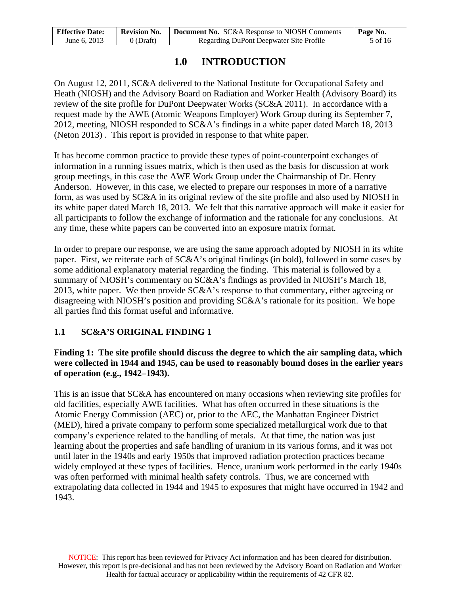| <b>Effective Date:</b> | <b>Revision No.</b> | <b>Document No.</b> SC&A Response to NIOSH Comments | Page No. |
|------------------------|---------------------|-----------------------------------------------------|----------|
| June 6, 2013           | $0$ (Draft)         | Regarding DuPont Deepwater Site Profile             | 5 of 16  |

## **1.0 INTRODUCTION**

<span id="page-4-0"></span>On August 12, 2011, SC&A delivered to the National Institute for Occupational Safety and Heath (NIOSH) and the Advisory Board on Radiation and Worker Health (Advisory Board) its review of the site profile for DuPont Deepwater Works (SC&A 2011). In accordance with a request made by the AWE (Atomic Weapons Employer) Work Group during its September 7, 2012, meeting, NIOSH responded to SC&A's findings in a white paper dated March 18, 2013 (Neton 2013) . This report is provided in response to that white paper.

It has become common practice to provide these types of point-counterpoint exchanges of information in a running issues matrix, which is then used as the basis for discussion at work group meetings, in this case the AWE Work Group under the Chairmanship of Dr. Henry Anderson. However, in this case, we elected to prepare our responses in more of a narrative form, as was used by SC&A in its original review of the site profile and also used by NIOSH in its white paper dated March 18, 2013. We felt that this narrative approach will make it easier for all participants to follow the exchange of information and the rationale for any conclusions. At any time, these white papers can be converted into an exposure matrix format.

In order to prepare our response, we are using the same approach adopted by NIOSH in its white paper. First, we reiterate each of SC&A's original findings (in bold), followed in some cases by some additional explanatory material regarding the finding. This material is followed by a summary of NIOSH's commentary on SC&A's findings as provided in NIOSH's March 18, 2013, white paper. We then provide SC&A's response to that commentary, either agreeing or disagreeing with NIOSH's position and providing SC&A's rationale for its position. We hope all parties find this format useful and informative.

### <span id="page-4-1"></span>**1.1 SC&A'S ORIGINAL FINDING 1**

### **Finding 1: The site profile should discuss the degree to which the air sampling data, which were collected in 1944 and 1945, can be used to reasonably bound doses in the earlier years of operation (e.g., 1942–1943).**

This is an issue that SC&A has encountered on many occasions when reviewing site profiles for old facilities, especially AWE facilities. What has often occurred in these situations is the Atomic Energy Commission (AEC) or, prior to the AEC, the Manhattan Engineer District (MED), hired a private company to perform some specialized metallurgical work due to that company's experience related to the handling of metals. At that time, the nation was just learning about the properties and safe handling of uranium in its various forms, and it was not until later in the 1940s and early 1950s that improved radiation protection practices became widely employed at these types of facilities. Hence, uranium work performed in the early 1940s was often performed with minimal health safety controls. Thus, we are concerned with extrapolating data collected in 1944 and 1945 to exposures that might have occurred in 1942 and 1943.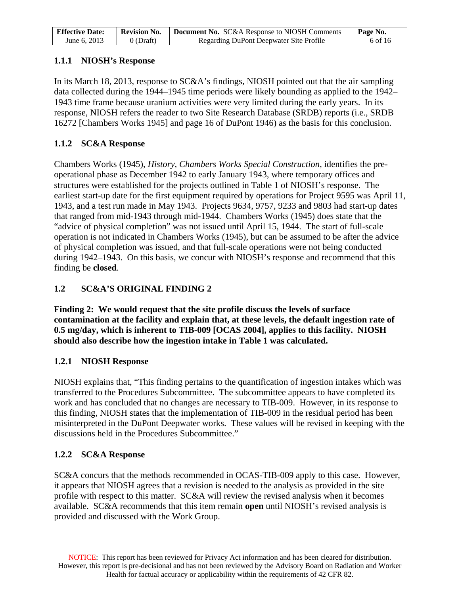| <b>Effective Date:</b> | Revision No. | <b>Document No.</b> SC&A Response to NIOSH Comments | $\mathsf{Page}\ N$ 0. |
|------------------------|--------------|-----------------------------------------------------|-----------------------|
| June 6, 2013           | 0 (Draft)    | Regarding DuPont Deepwater Site Profile             | 6 of 16               |

## <span id="page-5-0"></span>**1.1.1 NIOSH's Response**

In its March 18, 2013, response to SC&A's findings, NIOSH pointed out that the air sampling data collected during the 1944–1945 time periods were likely bounding as applied to the 1942– 1943 time frame because uranium activities were very limited during the early years. In its response, NIOSH refers the reader to two Site Research Database (SRDB) reports (i.e., SRDB 16272 [Chambers Works 1945] and page 16 of DuPont 1946) as the basis for this conclusion.

## <span id="page-5-1"></span>**1.1.2 SC&A Response**

Chambers Works (1945), *History, Chambers Works Special Construction*, identifies the preoperational phase as December 1942 to early January 1943, where temporary offices and structures were established for the projects outlined in Table 1 of NIOSH's response. The earliest start-up date for the first equipment required by operations for Project 9595 was April 11, 1943, and a test run made in May 1943. Projects 9634, 9757, 9233 and 9803 had start-up dates that ranged from mid-1943 through mid-1944. Chambers Works (1945) does state that the "advice of physical completion" was not issued until April 15, 1944. The start of full-scale operation is not indicated in Chambers Works (1945), but can be assumed to be after the advice of physical completion was issued, and that full-scale operations were not being conducted during 1942–1943. On this basis, we concur with NIOSH's response and recommend that this finding be **closed**.

## <span id="page-5-2"></span>**1.2 SC&A'S ORIGINAL FINDING 2**

**Finding 2: We would request that the site profile discuss the levels of surface contamination at the facility and explain that, at these levels, the default ingestion rate of 0.5 mg/day, which is inherent to TIB-009 [OCAS 2004], applies to this facility. NIOSH should also describe how the ingestion intake in Table 1 was calculated.**

### <span id="page-5-3"></span>**1.2.1 NIOSH Response**

NIOSH explains that, "This finding pertains to the quantification of ingestion intakes which was transferred to the Procedures Subcommittee. The subcommittee appears to have completed its work and has concluded that no changes are necessary to TIB-009. However, in its response to this finding, NIOSH states that the implementation of TIB-009 in the residual period has been misinterpreted in the DuPont Deepwater works. These values will be revised in keeping with the discussions held in the Procedures Subcommittee."

### <span id="page-5-4"></span>**1.2.2 SC&A Response**

SC&A concurs that the methods recommended in OCAS-TIB-009 apply to this case. However, it appears that NIOSH agrees that a revision is needed to the analysis as provided in the site profile with respect to this matter. SC&A will review the revised analysis when it becomes available. SC&A recommends that this item remain **open** until NIOSH's revised analysis is provided and discussed with the Work Group.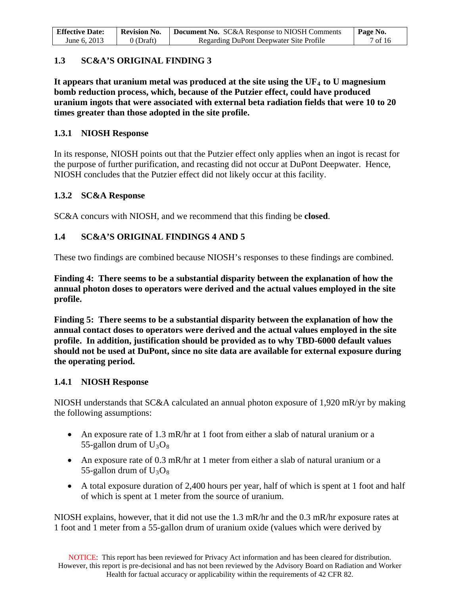| <b>Effective Date:</b> | <b>Revision No.</b> | <b>Document No.</b> SC&A Response to NIOSH Comments | Page No. |
|------------------------|---------------------|-----------------------------------------------------|----------|
| June 6, 2013           | (Draft)             | Regarding DuPont Deepwater Site Profile             | 7 of 16  |

### <span id="page-6-0"></span>**1.3 SC&A'S ORIGINAL FINDING 3**

It appears that uranium metal was produced at the site using the UF<sub>4</sub> to U magnesium **bomb reduction process, which, because of the Putzier effect, could have produced uranium ingots that were associated with external beta radiation fields that were 10 to 20 times greater than those adopted in the site profile.** 

#### <span id="page-6-1"></span>**1.3.1 NIOSH Response**

In its response, NIOSH points out that the Putzier effect only applies when an ingot is recast for the purpose of further purification, and recasting did not occur at DuPont Deepwater. Hence, NIOSH concludes that the Putzier effect did not likely occur at this facility.

#### <span id="page-6-2"></span>**1.3.2 SC&A Response**

SC&A concurs with NIOSH, and we recommend that this finding be **closed**.

### <span id="page-6-3"></span>**1.4 SC&A'S ORIGINAL FINDINGS 4 AND 5**

These two findings are combined because NIOSH's responses to these findings are combined.

**Finding 4: There seems to be a substantial disparity between the explanation of how the annual photon doses to operators were derived and the actual values employed in the site profile.**

**Finding 5: There seems to be a substantial disparity between the explanation of how the annual contact doses to operators were derived and the actual values employed in the site profile. In addition, justification should be provided as to why TBD-6000 default values should not be used at DuPont, since no site data are available for external exposure during the operating period.**

### <span id="page-6-4"></span>**1.4.1 NIOSH Response**

NIOSH understands that SC&A calculated an annual photon exposure of 1,920 mR/yr by making the following assumptions:

- An exposure rate of 1.3 mR/hr at 1 foot from either a slab of natural uranium or a 55-gallon drum of  $U_3O_8$
- An exposure rate of 0.3 mR/hr at 1 meter from either a slab of natural uranium or a 55-gallon drum of  $U_3O_8$
- A total exposure duration of 2,400 hours per year, half of which is spent at 1 foot and half of which is spent at 1 meter from the source of uranium.

NIOSH explains, however, that it did not use the 1.3 mR/hr and the 0.3 mR/hr exposure rates at 1 foot and 1 meter from a 55-gallon drum of uranium oxide (values which were derived by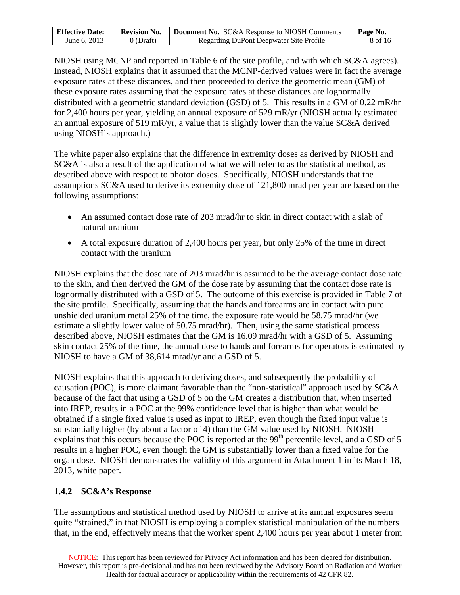| <b>Effective Date:</b> | Revision No. | <b>Document No.</b> SC&A Response to NIOSH Comments | $\mid$ Page No. |
|------------------------|--------------|-----------------------------------------------------|-----------------|
| June 6, 2013           | 0 (Draft)    | Regarding DuPont Deepwater Site Profile             | 8 of 16         |

NIOSH using MCNP and reported in Table 6 of the site profile, and with which SC&A agrees). Instead, NIOSH explains that it assumed that the MCNP-derived values were in fact the average exposure rates at these distances, and then proceeded to derive the geometric mean (GM) of these exposure rates assuming that the exposure rates at these distances are lognormally distributed with a geometric standard deviation (GSD) of 5. This results in a GM of 0.22 mR/hr for 2,400 hours per year, yielding an annual exposure of 529 mR/yr (NIOSH actually estimated an annual exposure of 519 mR/yr, a value that is slightly lower than the value SC&A derived using NIOSH's approach.)

The white paper also explains that the difference in extremity doses as derived by NIOSH and SC&A is also a result of the application of what we will refer to as the statistical method, as described above with respect to photon doses. Specifically, NIOSH understands that the assumptions SC&A used to derive its extremity dose of 121,800 mrad per year are based on the following assumptions:

- An assumed contact dose rate of 203 mrad/hr to skin in direct contact with a slab of natural uranium
- A total exposure duration of 2,400 hours per year, but only 25% of the time in direct contact with the uranium

NIOSH explains that the dose rate of 203 mrad/hr is assumed to be the average contact dose rate to the skin, and then derived the GM of the dose rate by assuming that the contact dose rate is lognormally distributed with a GSD of 5. The outcome of this exercise is provided in Table 7 of the site profile. Specifically, assuming that the hands and forearms are in contact with pure unshielded uranium metal 25% of the time, the exposure rate would be 58.75 mrad/hr (we estimate a slightly lower value of 50.75 mrad/hr). Then, using the same statistical process described above, NIOSH estimates that the GM is 16.09 mrad/hr with a GSD of 5. Assuming skin contact 25% of the time, the annual dose to hands and forearms for operators is estimated by NIOSH to have a GM of 38,614 mrad/yr and a GSD of 5.

NIOSH explains that this approach to deriving doses, and subsequently the probability of causation (POC), is more claimant favorable than the "non-statistical" approach used by SC&A because of the fact that using a GSD of 5 on the GM creates a distribution that, when inserted into IREP, results in a POC at the 99% confidence level that is higher than what would be obtained if a single fixed value is used as input to IREP, even though the fixed input value is substantially higher (by about a factor of 4) than the GM value used by NIOSH. NIOSH explains that this occurs because the POC is reported at the 99<sup>th</sup> percentile level, and a GSD of 5 results in a higher POC, even though the GM is substantially lower than a fixed value for the organ dose. NIOSH demonstrates the validity of this argument in Attachment 1 in its March 18, 2013, white paper.

### <span id="page-7-0"></span>**1.4.2 SC&A's Response**

The assumptions and statistical method used by NIOSH to arrive at its annual exposures seem quite "strained," in that NIOSH is employing a complex statistical manipulation of the numbers that, in the end, effectively means that the worker spent 2,400 hours per year about 1 meter from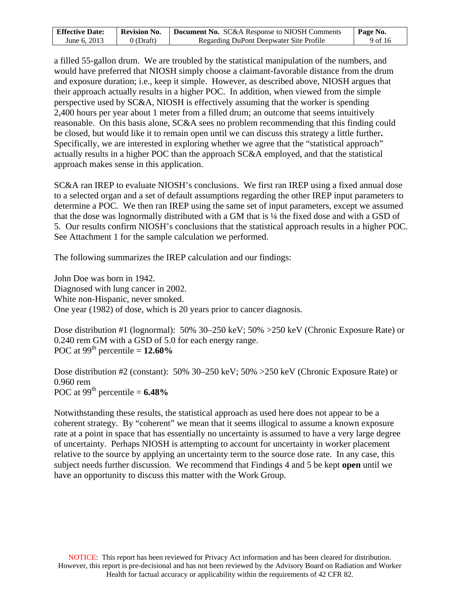| <b>Effective Date:</b> | <b>Revision No.</b> | <b>Document No.</b> SC&A Response to NIOSH Comments | l Page No. |
|------------------------|---------------------|-----------------------------------------------------|------------|
| June 6, 2013           | $0$ (Draft)         | Regarding DuPont Deepwater Site Profile             | 9 of 16    |

a filled 55-gallon drum. We are troubled by the statistical manipulation of the numbers, and would have preferred that NIOSH simply choose a claimant-favorable distance from the drum and exposure duration; i.e., keep it simple. However, as described above, NIOSH argues that their approach actually results in a higher POC. In addition, when viewed from the simple perspective used by SC&A, NIOSH is effectively assuming that the worker is spending 2,400 hours per year about 1 meter from a filled drum; an outcome that seems intuitively reasonable. On this basis alone, SC&A sees no problem recommending that this finding could be closed, but would like it to remain open until we can discuss this strategy a little further**.** Specifically, we are interested in exploring whether we agree that the "statistical approach" actually results in a higher POC than the approach SC&A employed, and that the statistical approach makes sense in this application.

SC&A ran IREP to evaluate NIOSH's conclusions. We first ran IREP using a fixed annual dose to a selected organ and a set of default assumptions regarding the other IREP input parameters to determine a POC. We then ran IREP using the same set of input parameters, except we assumed that the dose was lognormally distributed with a GM that is ¼ the fixed dose and with a GSD of 5. Our results confirm NIOSH's conclusions that the statistical approach results in a higher POC. See Attachment 1 for the sample calculation we performed.

The following summarizes the IREP calculation and our findings:

John Doe was born in 1942. Diagnosed with lung cancer in 2002. White non-Hispanic, never smoked. One year (1982) of dose, which is 20 years prior to cancer diagnosis.

Dose distribution #1 (lognormal): 50% 30–250 keV; 50% >250 keV (Chronic Exposure Rate) or 0.240 rem GM with a GSD of 5.0 for each energy range. POC at  $99<sup>th</sup>$  percentile =  $12.60\%$ 

Dose distribution #2 (constant): 50% 30–250 keV; 50% >250 keV (Chronic Exposure Rate) or 0.960 rem POC at  $99^{\text{th}}$  percentile =  $6.48\%$ 

Notwithstanding these results, the statistical approach as used here does not appear to be a coherent strategy. By "coherent" we mean that it seems illogical to assume a known exposure rate at a point in space that has essentially no uncertainty is assumed to have a very large degree of uncertainty. Perhaps NIOSH is attempting to account for uncertainty in worker placement relative to the source by applying an uncertainty term to the source dose rate. In any case, this subject needs further discussion. We recommend that Findings 4 and 5 be kept **open** until we have an opportunity to discuss this matter with the Work Group.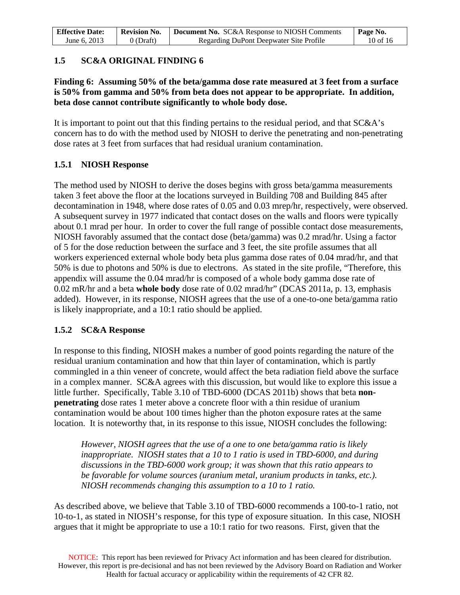| <b>Effective Date:</b> | Revision No. | <b>Document No.</b> SC&A Response to NIOSH Comments | Page No. |
|------------------------|--------------|-----------------------------------------------------|----------|
| June 6, 2013           | 0 (Draft)    | Regarding DuPont Deepwater Site Profile             | 10 of 16 |

### <span id="page-9-0"></span>**1.5 SC&A ORIGINAL FINDING 6**

#### **Finding 6: Assuming 50% of the beta/gamma dose rate measured at 3 feet from a surface is 50% from gamma and 50% from beta does not appear to be appropriate. In addition, beta dose cannot contribute significantly to whole body dose.**

It is important to point out that this finding pertains to the residual period, and that SC&A's concern has to do with the method used by NIOSH to derive the penetrating and non-penetrating dose rates at 3 feet from surfaces that had residual uranium contamination.

### <span id="page-9-1"></span>**1.5.1 NIOSH Response**

The method used by NIOSH to derive the doses begins with gross beta/gamma measurements taken 3 feet above the floor at the locations surveyed in Building 708 and Building 845 after decontamination in 1948, where dose rates of 0.05 and 0.03 mrep/hr, respectively, were observed. A subsequent survey in 1977 indicated that contact doses on the walls and floors were typically about 0.1 mrad per hour. In order to cover the full range of possible contact dose measurements, NIOSH favorably assumed that the contact dose (beta/gamma) was 0.2 mrad/hr. Using a factor of 5 for the dose reduction between the surface and 3 feet, the site profile assumes that all workers experienced external whole body beta plus gamma dose rates of 0.04 mrad/hr, and that 50% is due to photons and 50% is due to electrons. As stated in the site profile, "Therefore, this appendix will assume the 0.04 mrad/hr is composed of a whole body gamma dose rate of 0.02 mR/hr and a beta **whole body** dose rate of 0.02 mrad/hr" (DCAS 2011a, p. 13, emphasis added). However, in its response, NIOSH agrees that the use of a one-to-one beta/gamma ratio is likely inappropriate, and a 10:1 ratio should be applied.

### <span id="page-9-2"></span>**1.5.2 SC&A Response**

In response to this finding, NIOSH makes a number of good points regarding the nature of the residual uranium contamination and how that thin layer of contamination, which is partly commingled in a thin veneer of concrete, would affect the beta radiation field above the surface in a complex manner. SC&A agrees with this discussion, but would like to explore this issue a little further. Specifically, Table 3.10 of TBD-6000 (DCAS 2011b) shows that beta **nonpenetrating** dose rates 1 meter above a concrete floor with a thin residue of uranium contamination would be about 100 times higher than the photon exposure rates at the same location. It is noteworthy that, in its response to this issue, NIOSH concludes the following:

*However, NIOSH agrees that the use of a one to one beta/gamma ratio is likely inappropriate. NIOSH states that a 10 to 1 ratio is used in TBD-6000, and during discussions in the TBD-6000 work group; it was shown that this ratio appears to be favorable for volume sources (uranium metal, uranium products in tanks, etc.). NIOSH recommends changing this assumption to a 10 to 1 ratio.* 

As described above, we believe that Table 3.10 of TBD-6000 recommends a 100-to-1 ratio, not 10-to-1, as stated in NIOSH's response, for this type of exposure situation. In this case, NIOSH argues that it might be appropriate to use a 10:1 ratio for two reasons. First, given that the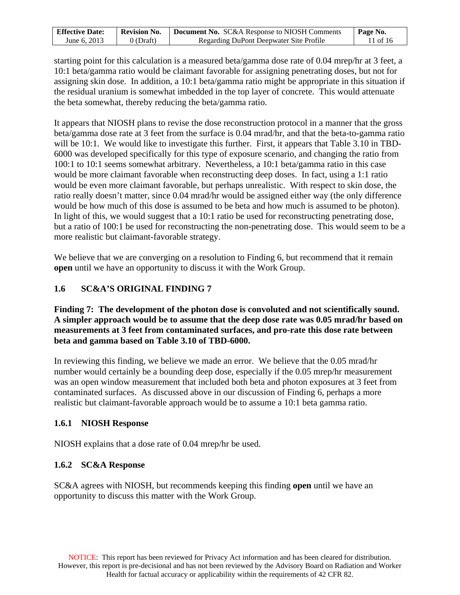| <b>Effective Date:</b> | Revision No. | <b>Document No.</b> SC&A Response to NIOSH Comments | Page No.   |
|------------------------|--------------|-----------------------------------------------------|------------|
| June 6, 2013           | $0$ (Draft)  | Regarding DuPont Deepwater Site Profile             | 11 of $16$ |

starting point for this calculation is a measured beta/gamma dose rate of 0.04 mrep/hr at 3 feet, a 10:1 beta/gamma ratio would be claimant favorable for assigning penetrating doses, but not for assigning skin dose. In addition, a 10:1 beta/gamma ratio might be appropriate in this situation if the residual uranium is somewhat imbedded in the top layer of concrete. This would attenuate the beta somewhat, thereby reducing the beta/gamma ratio.

It appears that NIOSH plans to revise the dose reconstruction protocol in a manner that the gross beta/gamma dose rate at 3 feet from the surface is 0.04 mrad/hr, and that the beta-to-gamma ratio will be 10:1. We would like to investigate this further. First, it appears that Table 3.10 in TBD-6000 was developed specifically for this type of exposure scenario, and changing the ratio from 100:1 to 10:1 seems somewhat arbitrary. Nevertheless, a 10:1 beta/gamma ratio in this case would be more claimant favorable when reconstructing deep doses. In fact, using a 1:1 ratio would be even more claimant favorable, but perhaps unrealistic. With respect to skin dose, the ratio really doesn't matter, since 0.04 mrad/hr would be assigned either way (the only difference would be how much of this dose is assumed to be beta and how much is assumed to be photon). In light of this, we would suggest that a 10:1 ratio be used for reconstructing penetrating dose, but a ratio of 100:1 be used for reconstructing the non-penetrating dose. This would seem to be a more realistic but claimant-favorable strategy.

We believe that we are converging on a resolution to Finding 6, but recommend that it remain **open** until we have an opportunity to discuss it with the Work Group.

## <span id="page-10-0"></span>**1.6 SC&A'S ORIGINAL FINDING 7**

**Finding 7: The development of the photon dose is convoluted and not scientifically sound. A simpler approach would be to assume that the deep dose rate was 0.05 mrad/hr based on measurements at 3 feet from contaminated surfaces, and pro-rate this dose rate between beta and gamma based on Table 3.10 of TBD-6000.** 

In reviewing this finding, we believe we made an error. We believe that the 0.05 mrad/hr number would certainly be a bounding deep dose, especially if the 0.05 mrep/hr measurement was an open window measurement that included both beta and photon exposures at 3 feet from contaminated surfaces. As discussed above in our discussion of Finding 6, perhaps a more realistic but claimant-favorable approach would be to assume a 10:1 beta gamma ratio.

### <span id="page-10-1"></span>**1.6.1 NIOSH Response**

NIOSH explains that a dose rate of 0.04 mrep/hr be used.

### <span id="page-10-2"></span>**1.6.2 SC&A Response**

SC&A agrees with NIOSH, but recommends keeping this finding **open** until we have an opportunity to discuss this matter with the Work Group.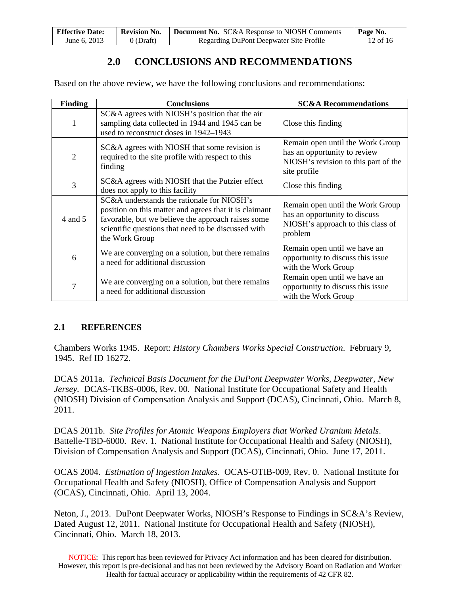| <b>Effective Date:</b> | <b>Revision No.</b> | <b>Document No.</b> SC&A Response to NIOSH Comments | Page No. |
|------------------------|---------------------|-----------------------------------------------------|----------|
| June 6, 2013           | $0$ (Draft)         | Regarding DuPont Deepwater Site Profile             | 12 of 16 |

## **2.0 CONCLUSIONS AND RECOMMENDATIONS**

<span id="page-11-0"></span>Based on the above review, we have the following conclusions and recommendations:

| <b>Finding</b> | <b>Conclusions</b>                                                                                                                                                                                                                  | <b>SC&amp;A Recommendations</b>                                                                                          |
|----------------|-------------------------------------------------------------------------------------------------------------------------------------------------------------------------------------------------------------------------------------|--------------------------------------------------------------------------------------------------------------------------|
| 1              | SC&A agrees with NIOSH's position that the air<br>sampling data collected in 1944 and 1945 can be<br>used to reconstruct doses in 1942–1943                                                                                         | Close this finding                                                                                                       |
| $\overline{2}$ | SC&A agrees with NIOSH that some revision is<br>required to the site profile with respect to this<br>finding                                                                                                                        | Remain open until the Work Group<br>has an opportunity to review<br>NIOSH's revision to this part of the<br>site profile |
| 3              | SC&A agrees with NIOSH that the Putzier effect<br>does not apply to this facility                                                                                                                                                   | Close this finding                                                                                                       |
| 4 and 5        | SC&A understands the rationale for NIOSH's<br>position on this matter and agrees that it is claimant<br>favorable, but we believe the approach raises some<br>scientific questions that need to be discussed with<br>the Work Group | Remain open until the Work Group<br>has an opportunity to discuss<br>NIOSH's approach to this class of<br>problem        |
| 6              | We are converging on a solution, but there remains<br>a need for additional discussion                                                                                                                                              | Remain open until we have an<br>opportunity to discuss this issue<br>with the Work Group                                 |
| 7              | We are converging on a solution, but there remains<br>a need for additional discussion                                                                                                                                              | Remain open until we have an<br>opportunity to discuss this issue<br>with the Work Group                                 |

### <span id="page-11-1"></span>**2.1 REFERENCES**

Chambers Works 1945. Report: *History Chambers Works Special Construction*. February 9, 1945. Ref ID 16272.

DCAS 2011a. *Technical Basis Document for the DuPont Deepwater Works, Deepwater, New Jersey.* DCAS-TKBS-0006, Rev. 00. National Institute for Occupational Safety and Health (NIOSH) Division of Compensation Analysis and Support (DCAS), Cincinnati, Ohio. March 8, 2011.

DCAS 2011b. *Site Profiles for Atomic Weapons Employers that Worked Uranium Metals*. Battelle-TBD-6000. Rev. 1. National Institute for Occupational Health and Safety (NIOSH), Division of Compensation Analysis and Support (DCAS), Cincinnati, Ohio. June 17, 2011.

OCAS 2004. *Estimation of Ingestion Intakes*. OCAS-OTIB-009, Rev. 0. National Institute for Occupational Health and Safety (NIOSH), Office of Compensation Analysis and Support (OCAS), Cincinnati, Ohio. April 13, 2004.

Neton, J., 2013. DuPont Deepwater Works, NIOSH's Response to Findings in SC&A's Review, Dated August 12, 2011. National Institute for Occupational Health and Safety (NIOSH), Cincinnati, Ohio. March 18, 2013.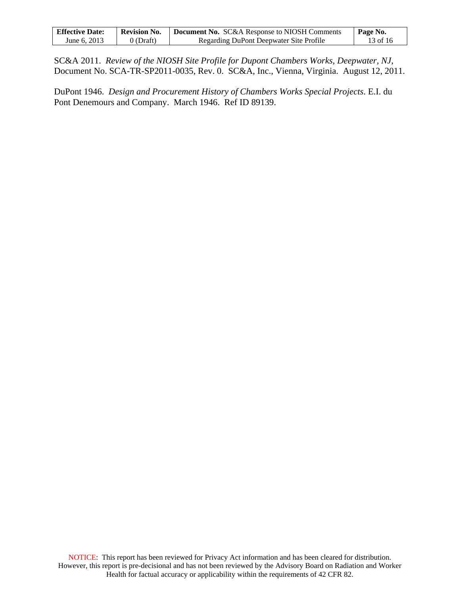| <b>Effective Date:</b> | <b>Revision No.</b> | <b>Document No.</b> SC&A Response to NIOSH Comments | Page No. |
|------------------------|---------------------|-----------------------------------------------------|----------|
| June 6, 2013           | $0$ (Draft)         | Regarding DuPont Deepwater Site Profile             | 13 of 16 |

SC&A 2011. *Review of the NIOSH Site Profile for Dupont Chambers Works, Deepwater, NJ*, Document No. SCA-TR-SP2011-0035, Rev. 0. SC&A, Inc., Vienna, Virginia. August 12, 2011.

DuPont 1946. *Design and Procurement History of Chambers Works Special Projects*. E.I. du Pont Denemours and Company. March 1946. Ref ID 89139.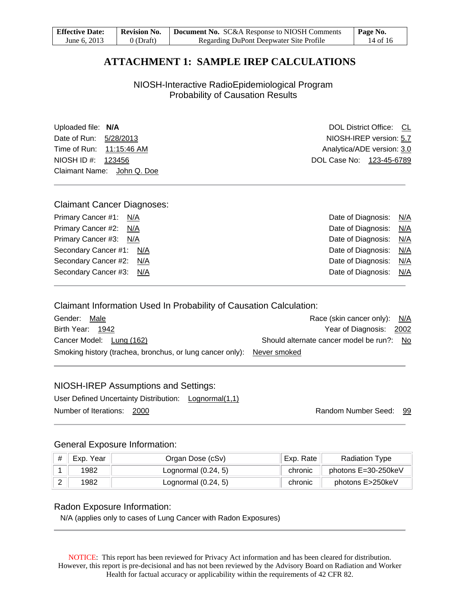<span id="page-13-0"></span>

| <b>Effective Date:</b> | Revision No. | <b>Document No.</b> SC&A Response to NIOSH Comments | Page No. |
|------------------------|--------------|-----------------------------------------------------|----------|
| June 6, 2013           | 0 (Draft)    | Regarding DuPont Deepwater Site Profile             | 14 of 16 |

### **ATTACHMENT 1: SAMPLE IREP CALCULATIONS**

NIOSH-Interactive RadioEpidemiological Program Probability of Causation Results

Uploaded file: **N/A** DOL District Office: CL Date of Run: 5/28/2013 NIOSH-IREP version: 5.7 Time of Run: 11:15:46 AM **Analytica/ADE** version: 3.0 NIOSH ID #: 123456 DOL Case No: 123-45-6789 Claimant Name: John Q. Doe

#### Claimant Cancer Diagnoses:

Primary Cancer #1: N/A Primary Cancer #2: N/A Primary Cancer #3: N/A Secondary Cancer #1: N/A Secondary Cancer #2: N/A Secondary Cancer #3: N/A

| Date of Diagnosis: | N/A |
|--------------------|-----|
| Date of Diagnosis: | N/A |
| Date of Diagnosis: | N/A |
| Date of Diagnosis: | N/A |
| Date of Diagnosis: | N/A |
| Date of Diagnosis: | N/A |

Claimant Information Used In Probability of Causation Calculation:

| Gender: Male                                                           | Race (skin cancer only): N/A              |
|------------------------------------------------------------------------|-------------------------------------------|
| Birth Year: 1942                                                       | Year of Diagnosis: 2002                   |
| Cancer Model: Lung (162)                                               | Should alternate cancer model be run?: No |
| Smoking history (trachea, bronchus, or lung cancer only): Never smoked |                                           |

#### NIOSH-IREP Assumptions and Settings:

User Defined Uncertainty Distribution: Lognormal(1,1) Number of Iterations: 2000 **Random Number Seed: 99** Random Number Seed: 99

#### General Exposure Information:

| $\vert$ #      | Exp. Year | Organ Dose (cSv)      | Exp. Rate | Radiation Type      |
|----------------|-----------|-----------------------|-----------|---------------------|
|                | 1982      | Lognormal $(0.24, 5)$ | chronic   | photons E=30-250keV |
| $\overline{2}$ | 1982      | Lognormal $(0.24, 5)$ | chronic   | photons E>250keV    |

#### Radon Exposure Information:

N/A (applies only to cases of Lung Cancer with Radon Exposures)

NOTICE: This report has been reviewed for Privacy Act information and has been cleared for distribution. However, this report is pre-decisional and has not been reviewed by the Advisory Board on Radiation and Worker Health for factual accuracy or applicability within the requirements of 42 CFR 82.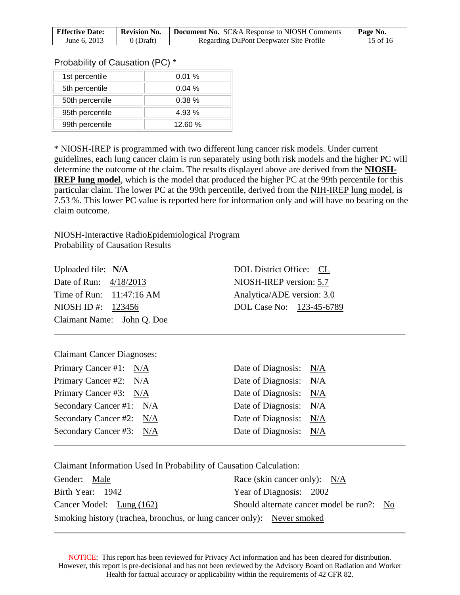| <b>Effective Date:</b> | Revision No. | <b>Document No.</b> SC&A Response to NIOSH Comments | Page No.   |
|------------------------|--------------|-----------------------------------------------------|------------|
| June 6, 2013           | $0$ (Draft)  | Regarding DuPont Deepwater Site Profile             | 15 of $16$ |

#### Probability of Causation (PC) \*

| 1st percentile  | 0.01%     |
|-----------------|-----------|
| 5th percentile  | $0.04\%$  |
| 50th percentile | $0.38 \%$ |
| 95th percentile | 4.93%     |
| 99th percentile | 12.60%    |
|                 |           |

\* NIOSH-IREP is programmed with two different lung cancer risk models. Under current guidelines, each lung cancer claim is run separately using both risk models and the higher PC will determine the outcome of the claim. The results displayed above are derived from the **NIOSH-IREP lung model**, which is the model that produced the higher PC at the 99th percentile for this particular claim. The lower PC at the 99th percentile, derived from the NIH-IREP lung model, is 7.53 %. This lower PC value is reported here for information only and will have no bearing on the claim outcome.

NIOSH-Interactive RadioEpidemiological Program Probability of Causation Results

| Uploaded file: $N/A$       | DOL District Office: CL    |
|----------------------------|----------------------------|
| Date of Run: 4/18/2013     | NIOSH-IREP version: 5.7    |
| Time of Run: 11:47:16 AM   | Analytica/ADE version: 3.0 |
| NIOSH ID #: $123456$       | DOL Case No: 123-45-6789   |
| Claimant Name: John Q. Doe |                            |

Claimant Cancer Diagnoses:

| Date of Diagnosis: N/A<br>Date of Diagnosis: N/A<br>Date of Diagnosis: N/A<br>Date of Diagnosis: N/A<br>Date of Diagnosis: N/A<br>Date of Diagnosis: N/A |
|----------------------------------------------------------------------------------------------------------------------------------------------------------|

Claimant Information Used In Probability of Causation Calculation:

| Gender: Male                                                           | Race (skin cancer only): $N/A$            |
|------------------------------------------------------------------------|-------------------------------------------|
| Birth Year: 1942                                                       | Year of Diagnosis: 2002                   |
| Cancer Model: Lung (162)                                               | Should alternate cancer model be run?: No |
| Smoking history (trachea, bronchus, or lung cancer only): Never smoked |                                           |

NOTICE: This report has been reviewed for Privacy Act information and has been cleared for distribution. However, this report is pre-decisional and has not been reviewed by the Advisory Board on Radiation and Worker Health for factual accuracy or applicability within the requirements of 42 CFR 82.